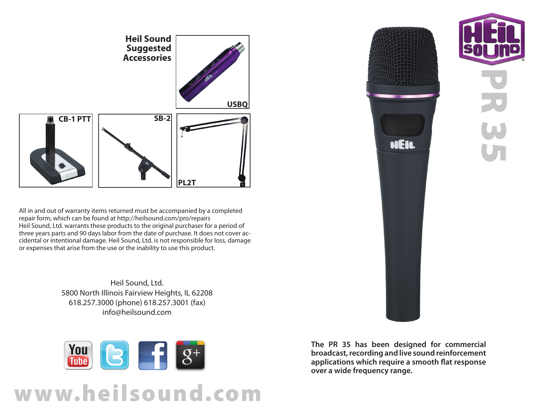

All in and out of warranty items returned must be accompanied by a completed repair form, which can be found at http://heilsound.com/pro/repairs Heil Sound, Ltd. warrants these products to the original purchaser for a period of three years parts and 90 days labor from the date of purchase. It does not cover accidental or intentional damage. Heil Sound, Ltd. is not responsible for loss, damage or expenses that arise from the use or the inability to use this product.

> Heil Sound, Ltd. 5800 North Illinois Fairview Heights, IL 62208 618.257.3000 (phone) 618.257.3001 (fax) info@heilsound.com



## www.heilsound.com



**The PR 35 has been designed for commercial broadcast, recording and live sound reinforcement applications which require a smooth flat response over a wide frequency range.**